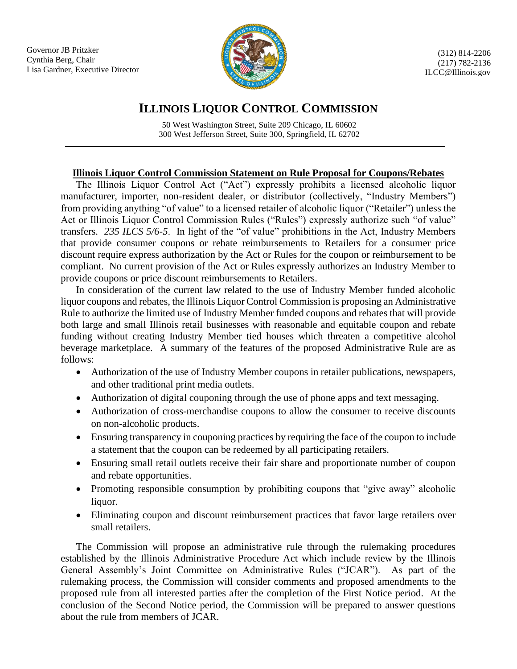Governor JB Pritzker Cynthia Berg, Chair Lisa Gardner, Executive Director



(312) 814-2206 (217) 782-2136 ILCC@Illinois.gov

## **ILLINOIS LIQUOR CONTROL COMMISSION**

50 West Washington Street, Suite 209 Chicago, IL 60602 300 West Jefferson Street, Suite 300, Springfield, IL 62702

## **Illinois Liquor Control Commission Statement on Rule Proposal for Coupons/Rebates**

The Illinois Liquor Control Act ("Act") expressly prohibits a licensed alcoholic liquor manufacturer, importer, non-resident dealer, or distributor (collectively, "Industry Members") from providing anything "of value" to a licensed retailer of alcoholic liquor ("Retailer") unless the Act or Illinois Liquor Control Commission Rules ("Rules") expressly authorize such "of value" transfers. *235 ILCS 5/6-5*. In light of the "of value" prohibitions in the Act, Industry Members that provide consumer coupons or rebate reimbursements to Retailers for a consumer price discount require express authorization by the Act or Rules for the coupon or reimbursement to be compliant. No current provision of the Act or Rules expressly authorizes an Industry Member to provide coupons or price discount reimbursements to Retailers.

In consideration of the current law related to the use of Industry Member funded alcoholic liquor coupons and rebates, the Illinois Liquor Control Commission is proposing an Administrative Rule to authorize the limited use of Industry Member funded coupons and rebates that will provide both large and small Illinois retail businesses with reasonable and equitable coupon and rebate funding without creating Industry Member tied houses which threaten a competitive alcohol beverage marketplace. A summary of the features of the proposed Administrative Rule are as follows:

- Authorization of the use of Industry Member coupons in retailer publications, newspapers, and other traditional print media outlets.
- Authorization of digital couponing through the use of phone apps and text messaging.
- Authorization of cross-merchandise coupons to allow the consumer to receive discounts on non-alcoholic products.
- Ensuring transparency in couponing practices by requiring the face of the coupon to include a statement that the coupon can be redeemed by all participating retailers.
- Ensuring small retail outlets receive their fair share and proportionate number of coupon and rebate opportunities.
- Promoting responsible consumption by prohibiting coupons that "give away" alcoholic liquor.
- Eliminating coupon and discount reimbursement practices that favor large retailers over small retailers.

The Commission will propose an administrative rule through the rulemaking procedures established by the Illinois Administrative Procedure Act which include review by the Illinois General Assembly's Joint Committee on Administrative Rules ("JCAR"). As part of the rulemaking process, the Commission will consider comments and proposed amendments to the proposed rule from all interested parties after the completion of the First Notice period. At the conclusion of the Second Notice period, the Commission will be prepared to answer questions about the rule from members of JCAR.